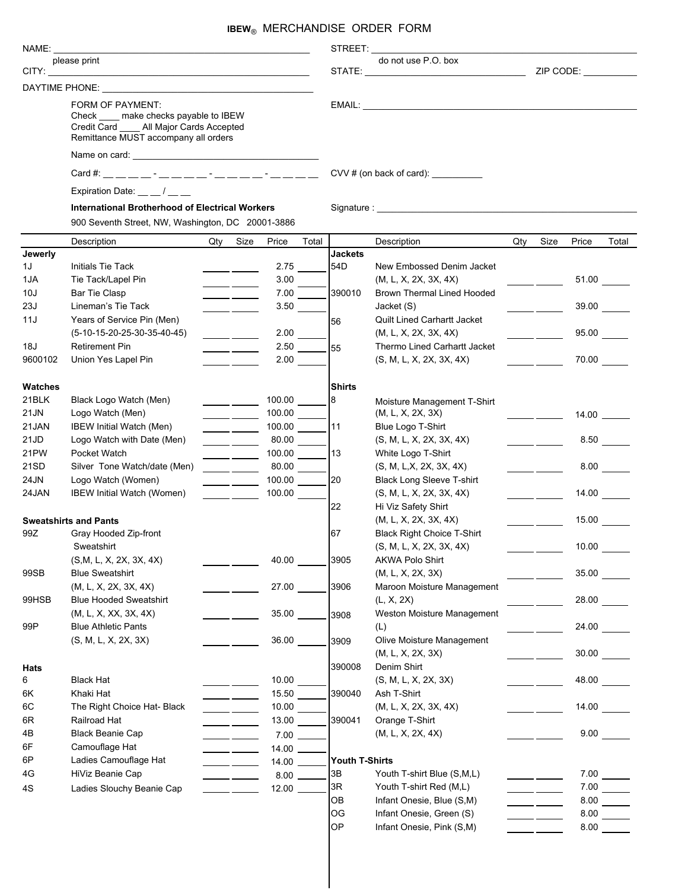## **IBEW**® MERCHANDISE ORDER FORM

|                              |                                                                                                                                                                           |     |                                                       |                 |                       | STREET: A STREET:     |                                        |       |                                                                                                                                                                                                                                      |       |       |  |  |  |
|------------------------------|---------------------------------------------------------------------------------------------------------------------------------------------------------------------------|-----|-------------------------------------------------------|-----------------|-----------------------|-----------------------|----------------------------------------|-------|--------------------------------------------------------------------------------------------------------------------------------------------------------------------------------------------------------------------------------------|-------|-------|--|--|--|
| please print                 |                                                                                                                                                                           |     |                                                       |                 |                       | do not use P.O. box   |                                        |       |                                                                                                                                                                                                                                      |       |       |  |  |  |
|                              |                                                                                                                                                                           |     |                                                       |                 |                       |                       |                                        |       | ZIP CODE: __________                                                                                                                                                                                                                 |       |       |  |  |  |
|                              |                                                                                                                                                                           |     |                                                       |                 |                       |                       |                                        |       |                                                                                                                                                                                                                                      |       |       |  |  |  |
|                              | FORM OF PAYMENT:                                                                                                                                                          |     |                                                       |                 |                       |                       |                                        |       |                                                                                                                                                                                                                                      |       |       |  |  |  |
|                              | Check ____ make checks payable to IBEW<br>Credit Card All Major Cards Accepted                                                                                            |     |                                                       |                 |                       |                       |                                        |       |                                                                                                                                                                                                                                      |       |       |  |  |  |
|                              | Remittance MUST accompany all orders<br>Expiration Date: /<br><b>International Brotherhood of Electrical Workers</b><br>900 Seventh Street, NW, Washington, DC 20001-3886 |     |                                                       |                 |                       |                       |                                        |       |                                                                                                                                                                                                                                      |       |       |  |  |  |
|                              |                                                                                                                                                                           |     |                                                       |                 |                       |                       |                                        |       |                                                                                                                                                                                                                                      |       |       |  |  |  |
|                              |                                                                                                                                                                           |     |                                                       |                 |                       |                       |                                        |       |                                                                                                                                                                                                                                      |       |       |  |  |  |
|                              |                                                                                                                                                                           |     |                                                       |                 |                       |                       | CVV # (on back of card): $\frac{1}{2}$ |       |                                                                                                                                                                                                                                      |       |       |  |  |  |
|                              |                                                                                                                                                                           |     |                                                       |                 |                       |                       |                                        |       |                                                                                                                                                                                                                                      |       |       |  |  |  |
|                              |                                                                                                                                                                           |     |                                                       |                 |                       |                       |                                        |       |                                                                                                                                                                                                                                      |       |       |  |  |  |
|                              |                                                                                                                                                                           |     |                                                       |                 |                       |                       |                                        |       |                                                                                                                                                                                                                                      |       |       |  |  |  |
|                              | Description                                                                                                                                                               | Qty | Size                                                  | Price           | Total                 |                       | Description                            | Qty   | Size                                                                                                                                                                                                                                 | Price | Total |  |  |  |
| Jewerly                      |                                                                                                                                                                           |     |                                                       |                 |                       | <b>Jackets</b>        |                                        |       |                                                                                                                                                                                                                                      |       |       |  |  |  |
| 1J                           | <b>Initials Tie Tack</b>                                                                                                                                                  |     |                                                       | 2.75            |                       | 54D                   | New Embossed Denim Jacket              |       |                                                                                                                                                                                                                                      |       |       |  |  |  |
| 1JA                          | Tie Tack/Lapel Pin                                                                                                                                                        |     | $\overline{\phantom{a}}$ and $\overline{\phantom{a}}$ | 3.00            |                       |                       | (M, L, X, 2X, 3X, 4X)                  |       |                                                                                                                                                                                                                                      | 51.00 |       |  |  |  |
| 10J                          | <b>Bar Tie Clasp</b>                                                                                                                                                      |     | $\overline{\phantom{a}}$ and $\overline{\phantom{a}}$ | 7.00            |                       | 390010                | <b>Brown Thermal Lined Hooded</b>      |       |                                                                                                                                                                                                                                      |       |       |  |  |  |
| 23J                          | Lineman's Tie Tack                                                                                                                                                        |     | $\overline{\phantom{a}}$ and $\overline{\phantom{a}}$ | $3.50$ $\qquad$ |                       |                       | Jacket (S)                             |       |                                                                                                                                                                                                                                      |       | 39.00 |  |  |  |
| 11J                          | Years of Service Pin (Men)                                                                                                                                                |     |                                                       |                 |                       | 56                    | <b>Quilt Lined Carhartt Jacket</b>     |       |                                                                                                                                                                                                                                      |       |       |  |  |  |
|                              | $(5-10-15-20-25-30-35-40-45)$                                                                                                                                             |     |                                                       | 2.00            |                       |                       | (M, L, X, 2X, 3X, 4X)                  |       | <u>and the state of the state of the state of the state of the state of the state of the state of the state of the state of the state of the state of the state of the state of the state of the state of the state of the state</u> | 95.00 |       |  |  |  |
| 18J                          | <b>Retirement Pin</b>                                                                                                                                                     |     | $\overline{\phantom{a}}$ and $\overline{\phantom{a}}$ | 2.50            |                       | 55                    | Thermo Lined Carhartt Jacket           |       |                                                                                                                                                                                                                                      |       |       |  |  |  |
| 9600102                      | Union Yes Lapel Pin                                                                                                                                                       |     | <b>Contract Contract</b>                              | 2.00            |                       |                       | (S, M, L, X, 2X, 3X, 4X)               |       |                                                                                                                                                                                                                                      | 70.00 |       |  |  |  |
|                              |                                                                                                                                                                           |     |                                                       |                 |                       |                       |                                        |       |                                                                                                                                                                                                                                      |       |       |  |  |  |
| <b>Watches</b>               |                                                                                                                                                                           |     |                                                       |                 |                       | <b>Shirts</b>         |                                        |       |                                                                                                                                                                                                                                      |       |       |  |  |  |
| 21BLK                        | Black Logo Watch (Men)                                                                                                                                                    |     |                                                       | 100.00          |                       | 8                     | Moisture Management T-Shirt            |       |                                                                                                                                                                                                                                      |       |       |  |  |  |
| 21JN                         | Logo Watch (Men)                                                                                                                                                          |     |                                                       | 100.00          |                       |                       | (M, L, X, 2X, 3X)                      |       | $\frac{1}{2}$ and $\frac{1}{2}$ and $\frac{1}{2}$                                                                                                                                                                                    |       |       |  |  |  |
| 21JAN                        | IBEW Initial Watch (Men)                                                                                                                                                  |     |                                                       | 100.00          |                       | 11                    | Blue Logo T-Shirt                      |       |                                                                                                                                                                                                                                      |       |       |  |  |  |
| 21JD                         | Logo Watch with Date (Men)                                                                                                                                                |     |                                                       | 80.00           |                       |                       | (S, M, L, X, 2X, 3X, 4X)               |       |                                                                                                                                                                                                                                      |       |       |  |  |  |
| 21PW                         | Pocket Watch                                                                                                                                                              |     | $\overline{\phantom{a}}$ and $\overline{\phantom{a}}$ | 100.00          |                       | 13                    | White Logo T-Shirt                     |       |                                                                                                                                                                                                                                      |       |       |  |  |  |
| 21SD                         | Silver Tone Watch/date (Men)                                                                                                                                              |     |                                                       | 80.00           |                       |                       | (S, M, L,X, 2X, 3X, 4X)                |       |                                                                                                                                                                                                                                      |       | 8.00  |  |  |  |
| 24JN                         | Logo Watch (Women)                                                                                                                                                        |     |                                                       | 100.00          |                       | 20                    | Black Long Sleeve T-shirt              |       |                                                                                                                                                                                                                                      |       |       |  |  |  |
| 24JAN                        | IBEW Initial Watch (Women)                                                                                                                                                |     |                                                       | 100.00          |                       |                       | (S, M, L, X, 2X, 3X, 4X)               |       | $\frac{1}{2}$ and $\frac{1}{2}$ and $\frac{1}{2}$                                                                                                                                                                                    | 14.00 |       |  |  |  |
|                              |                                                                                                                                                                           |     |                                                       |                 |                       | 22                    | Hi Viz Safety Shirt                    |       |                                                                                                                                                                                                                                      |       |       |  |  |  |
| <b>Sweatshirts and Pants</b> |                                                                                                                                                                           |     |                                                       |                 | (M, L, X, 2X, 3X, 4X) |                       |                                        | 15.00 |                                                                                                                                                                                                                                      |       |       |  |  |  |
| 99Z                          | Gray Hooded Zip-front                                                                                                                                                     |     |                                                       |                 |                       | 67                    | <b>Black Right Choice T-Shirt</b>      |       |                                                                                                                                                                                                                                      |       |       |  |  |  |
|                              | Sweatshirt                                                                                                                                                                |     |                                                       |                 |                       |                       | (S, M, L, X, 2X, 3X, 4X)               |       |                                                                                                                                                                                                                                      | 10.00 |       |  |  |  |
|                              | (S,M, L, X, 2X, 3X, 4X)                                                                                                                                                   |     |                                                       | 40.00           |                       | 3905                  | AKWA Polo Shirt                        |       |                                                                                                                                                                                                                                      |       |       |  |  |  |
| 99SB                         | <b>Blue Sweatshirt</b>                                                                                                                                                    |     |                                                       |                 |                       |                       | (M, L, X, 2X, 3X)                      |       |                                                                                                                                                                                                                                      | 35.00 |       |  |  |  |
|                              | (M, L, X, 2X, 3X, 4X)                                                                                                                                                     |     |                                                       | 27.00           |                       | 3906                  | Maroon Moisture Management             |       |                                                                                                                                                                                                                                      |       |       |  |  |  |
| 99HSB                        | <b>Blue Hooded Sweatshirt</b>                                                                                                                                             |     |                                                       |                 |                       |                       | (L, X, 2X)                             |       |                                                                                                                                                                                                                                      | 28.00 |       |  |  |  |
|                              | (M, L, X, XX, 3X, 4X)                                                                                                                                                     |     |                                                       | 35.00           |                       | 3908                  | Weston Moisture Management             |       |                                                                                                                                                                                                                                      |       |       |  |  |  |
| 99P                          | <b>Blue Athletic Pants</b>                                                                                                                                                |     |                                                       |                 |                       |                       | (L)                                    |       |                                                                                                                                                                                                                                      | 24.00 |       |  |  |  |
|                              | (S, M, L, X, 2X, 3X)                                                                                                                                                      |     |                                                       | 36.00           |                       | 3909                  | Olive Moisture Management              |       |                                                                                                                                                                                                                                      |       |       |  |  |  |
|                              |                                                                                                                                                                           |     |                                                       |                 |                       |                       | (M, L, X, 2X, 3X)                      |       |                                                                                                                                                                                                                                      | 30.00 |       |  |  |  |
| Hats                         |                                                                                                                                                                           |     |                                                       |                 |                       | 390008                | Denim Shirt                            |       |                                                                                                                                                                                                                                      |       |       |  |  |  |
| 6                            | <b>Black Hat</b>                                                                                                                                                          |     |                                                       | 10.00           |                       |                       | (S, M, L, X, 2X, 3X)                   |       |                                                                                                                                                                                                                                      | 48.00 |       |  |  |  |
| 6K                           | Khaki Hat                                                                                                                                                                 |     |                                                       | 15.50           |                       | 390040                | Ash T-Shirt                            |       |                                                                                                                                                                                                                                      |       |       |  |  |  |
| 6C                           | The Right Choice Hat- Black                                                                                                                                               |     |                                                       | 10.00           |                       |                       | (M, L, X, 2X, 3X, 4X)                  |       |                                                                                                                                                                                                                                      | 14.00 |       |  |  |  |
| 6R                           | Railroad Hat                                                                                                                                                              |     |                                                       | 13.00           |                       | 390041                | Orange T-Shirt                         |       |                                                                                                                                                                                                                                      |       |       |  |  |  |
| 4B                           | <b>Black Beanie Cap</b>                                                                                                                                                   |     | $\overline{\phantom{a}}$                              | $7.00$ $\_\_$   |                       |                       | (M, L, X, 2X, 4X)                      |       |                                                                                                                                                                                                                                      | 9.00  |       |  |  |  |
| 6F                           | Camouflage Hat                                                                                                                                                            |     | $\overline{\phantom{a}}$                              | $14.00$ $-$     |                       |                       |                                        |       |                                                                                                                                                                                                                                      |       |       |  |  |  |
| 6P                           | Ladies Camouflage Hat                                                                                                                                                     |     | $\overline{\phantom{a}}$                              | $14.00$ $\_$    |                       | <b>Youth T-Shirts</b> |                                        |       |                                                                                                                                                                                                                                      |       |       |  |  |  |
| 4G                           | HiViz Beanie Cap                                                                                                                                                          |     |                                                       | $8.00$ $\_\_$   |                       | 3B                    | Youth T-shirt Blue (S,M,L)             |       |                                                                                                                                                                                                                                      |       | 7.00  |  |  |  |
| 4S                           | Ladies Slouchy Beanie Cap                                                                                                                                                 |     |                                                       | $12.00$ $-$     |                       | 3R                    | Youth T-shirt Red (M,L)                |       |                                                                                                                                                                                                                                      |       | 7.00  |  |  |  |
|                              |                                                                                                                                                                           |     |                                                       |                 |                       | OВ                    | Infant Onesie, Blue (S,M)              |       |                                                                                                                                                                                                                                      |       | 8.00  |  |  |  |
|                              |                                                                                                                                                                           |     |                                                       |                 |                       | ОG                    | Infant Onesie, Green (S)               |       |                                                                                                                                                                                                                                      |       | 8.00  |  |  |  |
|                              |                                                                                                                                                                           |     |                                                       |                 |                       | OP                    | Infant Onesie, Pink (S,M)              |       |                                                                                                                                                                                                                                      | 8.00  |       |  |  |  |